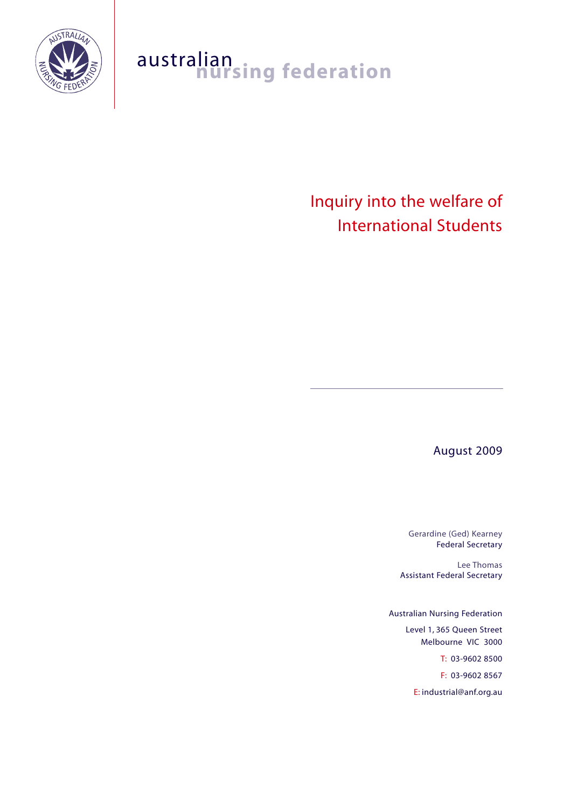

## australian<br>**nursing federation**

Inquiry into the welfare of International Students

August 2009

Gerardine (Ged) Kearney Federal Secretary

Lee Thomas Assistant Federal Secretary

Australian Nursing Federation Level 1, 365 Queen Street Melbourne VIC 3000 T: 03-9602 8500 F: 03-9602 8567 E: industrial@anf.org.au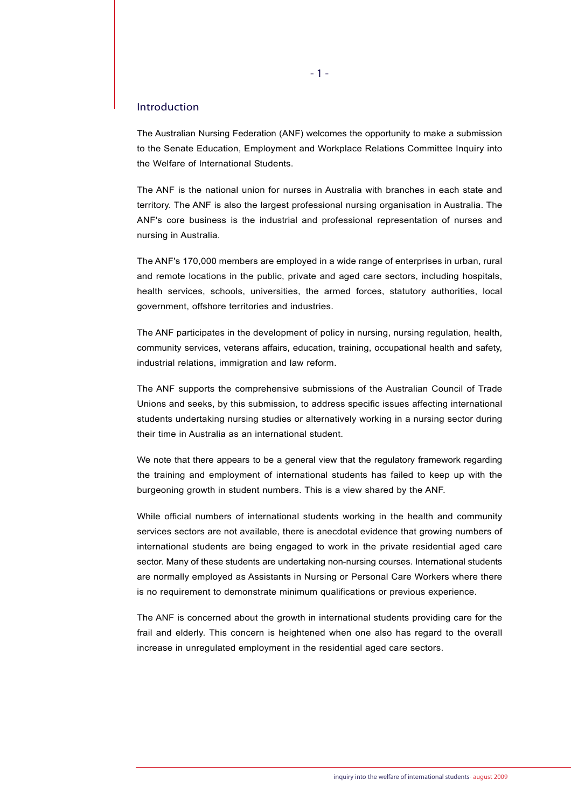## Introduction

The Australian Nursing Federation (ANF) welcomes the opportunity to make a submission to the Senate Education, Employment and Workplace Relations Committee Inquiry into the Welfare of International Students.

The ANF is the national union for nurses in Australia with branches in each state and territory. The ANF is also the largest professional nursing organisation in Australia. The ANF's core business is the industrial and professional representation of nurses and nursing in Australia.

The ANF's 170,000 members are employed in a wide range of enterprises in urban, rural and remote locations in the public, private and aged care sectors, including hospitals, health services, schools, universities, the armed forces, statutory authorities, local government, offshore territories and industries.

The ANF participates in the development of policy in nursing, nursing regulation, health, community services, veterans affairs, education, training, occupational health and safety, industrial relations, immigration and law reform.

The ANF supports the comprehensive submissions of the Australian Council of Trade Unions and seeks, by this submission, to address specific issues affecting international students undertaking nursing studies or alternatively working in a nursing sector during their time in Australia as an international student.

We note that there appears to be a general view that the regulatory framework regarding the training and employment of international students has failed to keep up with the burgeoning growth in student numbers. This is a view shared by the ANF.

While official numbers of international students working in the health and community services sectors are not available, there is anecdotal evidence that growing numbers of international students are being engaged to work in the private residential aged care sector. Many of these students are undertaking non-nursing courses. International students are normally employed as Assistants in Nursing or Personal Care Workers where there is no requirement to demonstrate minimum qualifications or previous experience.

The ANF is concerned about the growth in international students providing care for the frail and elderly. This concern is heightened when one also has regard to the overall increase in unregulated employment in the residential aged care sectors.